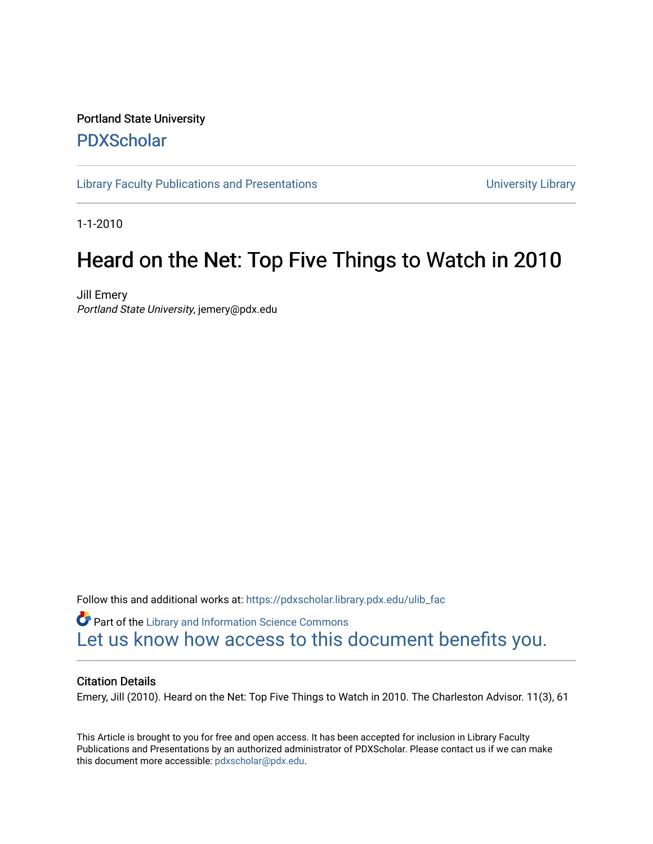## Portland State University [PDXScholar](https://pdxscholar.library.pdx.edu/)

[Library Faculty Publications and Presentations](https://pdxscholar.library.pdx.edu/ulib_fac) **Exercise 20 and Exercise 20 and Presentations** University Library

1-1-2010

## Heard on the Net: Top Five Things to Watch in 2010

Jill Emery Portland State University, jemery@pdx.edu

Follow this and additional works at: [https://pdxscholar.library.pdx.edu/ulib\\_fac](https://pdxscholar.library.pdx.edu/ulib_fac?utm_source=pdxscholar.library.pdx.edu%2Fulib_fac%2F24&utm_medium=PDF&utm_campaign=PDFCoverPages) 

Part of the [Library and Information Science Commons](http://network.bepress.com/hgg/discipline/1018?utm_source=pdxscholar.library.pdx.edu%2Fulib_fac%2F24&utm_medium=PDF&utm_campaign=PDFCoverPages)  [Let us know how access to this document benefits you.](http://library.pdx.edu/services/pdxscholar-services/pdxscholar-feedback/?ref=https://pdxscholar.library.pdx.edu/ulib_fac/24) 

## Citation Details

Emery, Jill (2010). Heard on the Net: Top Five Things to Watch in 2010. The Charleston Advisor. 11(3), 61

This Article is brought to you for free and open access. It has been accepted for inclusion in Library Faculty Publications and Presentations by an authorized administrator of PDXScholar. Please contact us if we can make this document more accessible: [pdxscholar@pdx.edu.](mailto:pdxscholar@pdx.edu)